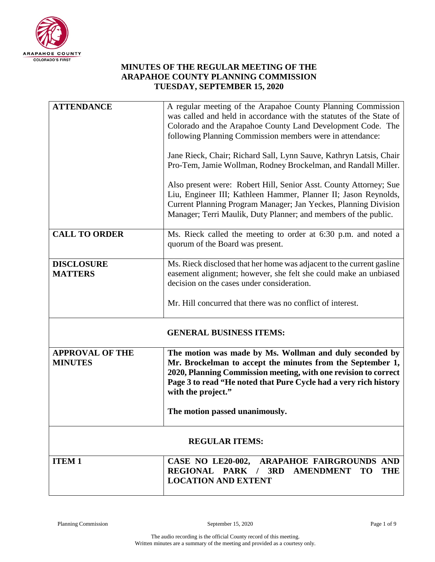

## **MINUTES OF THE REGULAR MEETING OF THE ARAPAHOE COUNTY PLANNING COMMISSION TUESDAY, SEPTEMBER 15, 2020**

| <b>ATTENDANCE</b>                        | A regular meeting of the Arapahoe County Planning Commission<br>was called and held in accordance with the statutes of the State of<br>Colorado and the Arapahoe County Land Development Code. The<br>following Planning Commission members were in attendance:<br>Jane Rieck, Chair; Richard Sall, Lynn Sauve, Kathryn Latsis, Chair<br>Pro-Tem, Jamie Wollman, Rodney Brockelman, and Randall Miller.<br>Also present were: Robert Hill, Senior Asst. County Attorney; Sue<br>Liu, Engineer III; Kathleen Hammer, Planner II; Jason Reynolds,<br>Current Planning Program Manager; Jan Yeckes, Planning Division<br>Manager; Terri Maulik, Duty Planner; and members of the public. |
|------------------------------------------|---------------------------------------------------------------------------------------------------------------------------------------------------------------------------------------------------------------------------------------------------------------------------------------------------------------------------------------------------------------------------------------------------------------------------------------------------------------------------------------------------------------------------------------------------------------------------------------------------------------------------------------------------------------------------------------|
| <b>CALL TO ORDER</b>                     | Ms. Rieck called the meeting to order at 6:30 p.m. and noted a                                                                                                                                                                                                                                                                                                                                                                                                                                                                                                                                                                                                                        |
|                                          | quorum of the Board was present.                                                                                                                                                                                                                                                                                                                                                                                                                                                                                                                                                                                                                                                      |
| <b>DISCLOSURE</b>                        | Ms. Rieck disclosed that her home was adjacent to the current gasline                                                                                                                                                                                                                                                                                                                                                                                                                                                                                                                                                                                                                 |
| <b>MATTERS</b>                           | easement alignment; however, she felt she could make an unbiased<br>decision on the cases under consideration.                                                                                                                                                                                                                                                                                                                                                                                                                                                                                                                                                                        |
|                                          | Mr. Hill concurred that there was no conflict of interest.                                                                                                                                                                                                                                                                                                                                                                                                                                                                                                                                                                                                                            |
|                                          | <b>GENERAL BUSINESS ITEMS:</b>                                                                                                                                                                                                                                                                                                                                                                                                                                                                                                                                                                                                                                                        |
| <b>APPROVAL OF THE</b><br><b>MINUTES</b> | The motion was made by Ms. Wollman and duly seconded by<br>Mr. Brockelman to accept the minutes from the September 1,<br>2020, Planning Commission meeting, with one revision to correct<br>Page 3 to read "He noted that Pure Cycle had a very rich history<br>with the project."<br>The motion passed unanimously.                                                                                                                                                                                                                                                                                                                                                                  |
|                                          |                                                                                                                                                                                                                                                                                                                                                                                                                                                                                                                                                                                                                                                                                       |
| <b>REGULAR ITEMS:</b>                    |                                                                                                                                                                                                                                                                                                                                                                                                                                                                                                                                                                                                                                                                                       |
| <b>ITEM1</b>                             | CASE NO LE20-002, ARAPAHOE FAIRGROUNDS AND<br>REGIONAL PARK / 3RD AMENDMENT TO<br><b>THE</b><br><b>LOCATION AND EXTENT</b>                                                                                                                                                                                                                                                                                                                                                                                                                                                                                                                                                            |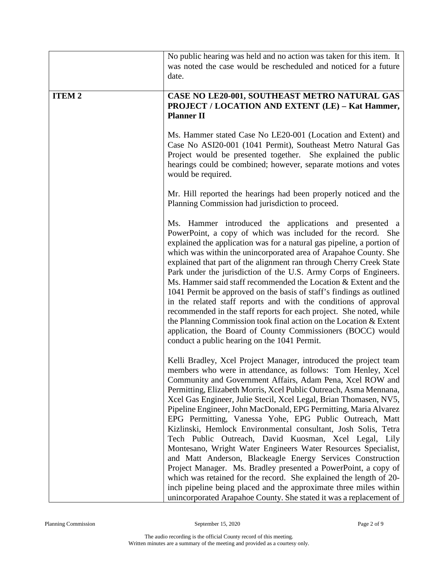|              | No public hearing was held and no action was taken for this item. It<br>was noted the case would be rescheduled and noticed for a future<br>date.                                                                                                                                                                                                                                                                                                                                                                                                                                                                                                                                                                                                                                                                                                                                                                                                                                                                   |
|--------------|---------------------------------------------------------------------------------------------------------------------------------------------------------------------------------------------------------------------------------------------------------------------------------------------------------------------------------------------------------------------------------------------------------------------------------------------------------------------------------------------------------------------------------------------------------------------------------------------------------------------------------------------------------------------------------------------------------------------------------------------------------------------------------------------------------------------------------------------------------------------------------------------------------------------------------------------------------------------------------------------------------------------|
| <b>ITEM2</b> | CASE NO LE20-001, SOUTHEAST METRO NATURAL GAS<br>PROJECT / LOCATION AND EXTENT (LE) - Kat Hammer,<br><b>Planner II</b>                                                                                                                                                                                                                                                                                                                                                                                                                                                                                                                                                                                                                                                                                                                                                                                                                                                                                              |
|              | Ms. Hammer stated Case No LE20-001 (Location and Extent) and<br>Case No ASI20-001 (1041 Permit), Southeast Metro Natural Gas<br>Project would be presented together. She explained the public<br>hearings could be combined; however, separate motions and votes<br>would be required.                                                                                                                                                                                                                                                                                                                                                                                                                                                                                                                                                                                                                                                                                                                              |
|              | Mr. Hill reported the hearings had been properly noticed and the<br>Planning Commission had jurisdiction to proceed.                                                                                                                                                                                                                                                                                                                                                                                                                                                                                                                                                                                                                                                                                                                                                                                                                                                                                                |
|              | Ms. Hammer introduced the applications and presented a<br>PowerPoint, a copy of which was included for the record. She<br>explained the application was for a natural gas pipeline, a portion of<br>which was within the unincorporated area of Arapahoe County. She<br>explained that part of the alignment ran through Cherry Creek State<br>Park under the jurisdiction of the U.S. Army Corps of Engineers.<br>Ms. Hammer said staff recommended the Location & Extent and the<br>1041 Permit be approved on the basis of staff's findings as outlined<br>in the related staff reports and with the conditions of approval<br>recommended in the staff reports for each project. She noted, while<br>the Planning Commission took final action on the Location & Extent<br>application, the Board of County Commissioners (BOCC) would<br>conduct a public hearing on the 1041 Permit.                                                                                                                          |
|              | Kelli Bradley, Xcel Project Manager, introduced the project team<br>members who were in attendance, as follows: Tom Henley, Xcel<br>Community and Government Affairs, Adam Pena, Xcel ROW and<br>Permitting, Elizabeth Morris, Xcel Public Outreach, Asma Mennana,<br>Xcel Gas Engineer, Julie Stecil, Xcel Legal, Brian Thomasen, NV5,<br>Pipeline Engineer, John MacDonald, EPG Permitting, Maria Alvarez<br>EPG Permitting, Vanessa Yohe, EPG Public Outreach, Matt<br>Kizlinski, Hemlock Environmental consultant, Josh Solis, Tetra<br>Tech Public Outreach, David Kuosman, Xcel Legal, Lily<br>Montesano, Wright Water Engineers Water Resources Specialist,<br>and Matt Anderson, Blackeagle Energy Services Construction<br>Project Manager. Ms. Bradley presented a PowerPoint, a copy of<br>which was retained for the record. She explained the length of 20-<br>inch pipeline being placed and the approximate three miles within<br>unincorporated Arapahoe County. She stated it was a replacement of |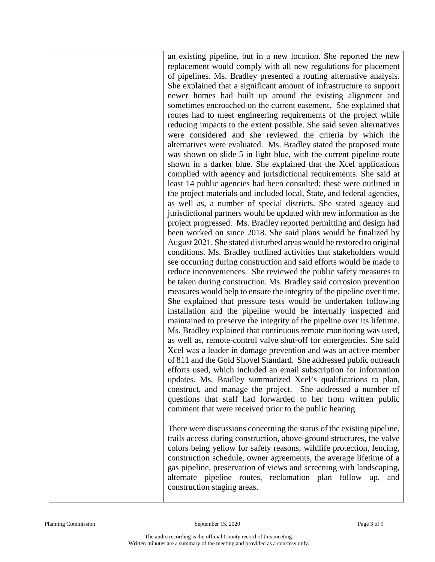an existing pipeline, but in a new location. She reported the new replacement would comply with all new regulations for placement of pipelines. Ms. Bradley presented a routing alternative analysis. She explained that a significant amount of infrastructure to support newer homes had built up around the existing alignment and sometimes encroached on the current easement. She explained that routes had to meet engineering requirements of the project while reducing impacts to the extent possible. She said seven alternatives were considered and she reviewed the criteria by which the alternatives were evaluated. Ms. Bradley stated the proposed route was shown on slide 5 in light blue, with the current pipeline route shown in a darker blue. She explained that the Xcel applications complied with agency and jurisdictional requirements. She said at least 14 public agencies had been consulted; these were outlined in the project materials and included local, State, and federal agencies, as well as, a number of special districts. She stated agency and jurisdictional partners would be updated with new information as the project progressed. Ms. Bradley reported permitting and design had been worked on since 2018. She said plans would be finalized by August 2021. She stated disturbed areas would be restored to original conditions. Ms. Bradley outlined activities that stakeholders would see occurring during construction and said efforts would be made to reduce inconveniences. She reviewed the public safety measures to be taken during construction. Ms. Bradley said corrosion prevention measures would help to ensure the integrity of the pipeline over time. She explained that pressure tests would be undertaken following installation and the pipeline would be internally inspected and maintained to preserve the integrity of the pipeline over its lifetime. Ms. Bradley explained that continuous remote monitoring was used, as well as, remote-control valve shut-off for emergencies. She said Xcel was a leader in damage prevention and was an active member of 811 and the Gold Shovel Standard. She addressed public outreach efforts used, which included an email subscription for information updates. Ms. Bradley summarized Xcel's qualifications to plan, construct, and manage the project. She addressed a number of questions that staff had forwarded to her from written public comment that were received prior to the public hearing.

There were discussions concerning the status of the existing pipeline, trails access during construction, above-ground structures, the valve colors being yellow for safety reasons, wildlife protection, fencing, construction schedule, owner agreements, the average lifetime of a gas pipeline, preservation of views and screening with landscaping, alternate pipeline routes, reclamation plan follow up, and construction staging areas.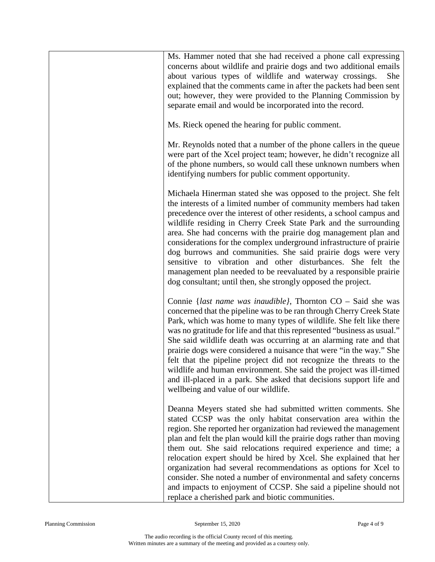| Ms. Hammer noted that she had received a phone call expressing<br>concerns about wildlife and prairie dogs and two additional emails<br>about various types of wildlife and waterway crossings.<br>She<br>explained that the comments came in after the packets had been sent<br>out; however, they were provided to the Planning Commission by<br>separate email and would be incorporated into the record.                                                                                                                                                                                                                                                                                                |
|-------------------------------------------------------------------------------------------------------------------------------------------------------------------------------------------------------------------------------------------------------------------------------------------------------------------------------------------------------------------------------------------------------------------------------------------------------------------------------------------------------------------------------------------------------------------------------------------------------------------------------------------------------------------------------------------------------------|
| Ms. Rieck opened the hearing for public comment.                                                                                                                                                                                                                                                                                                                                                                                                                                                                                                                                                                                                                                                            |
| Mr. Reynolds noted that a number of the phone callers in the queue<br>were part of the Xcel project team; however, he didn't recognize all<br>of the phone numbers, so would call these unknown numbers when<br>identifying numbers for public comment opportunity.                                                                                                                                                                                                                                                                                                                                                                                                                                         |
| Michaela Hinerman stated she was opposed to the project. She felt<br>the interests of a limited number of community members had taken<br>precedence over the interest of other residents, a school campus and<br>wildlife residing in Cherry Creek State Park and the surrounding<br>area. She had concerns with the prairie dog management plan and<br>considerations for the complex underground infrastructure of prairie<br>dog burrows and communities. She said prairie dogs were very<br>sensitive to vibration and other disturbances. She felt the<br>management plan needed to be reevaluated by a responsible prairie<br>dog consultant; until then, she strongly opposed the project.           |
| Connie { <i>last name was inaudible}</i> , Thornton $CO -$ Said she was<br>concerned that the pipeline was to be ran through Cherry Creek State<br>Park, which was home to many types of wildlife. She felt like there<br>was no gratitude for life and that this represented "business as usual."<br>She said wildlife death was occurring at an alarming rate and that<br>prairie dogs were considered a nuisance that were "in the way." She<br>felt that the pipeline project did not recognize the threats to the<br>wildlife and human environment. She said the project was ill-timed<br>and ill-placed in a park. She asked that decisions support life and<br>wellbeing and value of our wildlife. |
| Deanna Meyers stated she had submitted written comments. She<br>stated CCSP was the only habitat conservation area within the<br>region. She reported her organization had reviewed the management<br>plan and felt the plan would kill the prairie dogs rather than moving<br>them out. She said relocations required experience and time; a<br>relocation expert should be hired by Xcel. She explained that her<br>organization had several recommendations as options for Xcel to<br>consider. She noted a number of environmental and safety concerns<br>and impacts to enjoyment of CCSP. She said a pipeline should not<br>replace a cherished park and biotic communities.                          |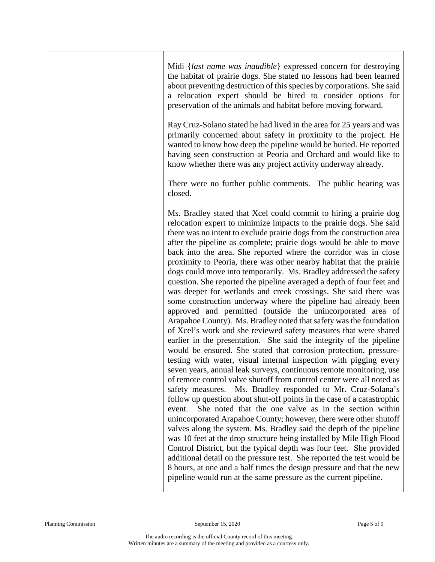| Midi { <i>last name was inaudible</i> } expressed concern for destroying<br>the habitat of prairie dogs. She stated no lessons had been learned<br>about preventing destruction of this species by corporations. She said<br>a relocation expert should be hired to consider options for<br>preservation of the animals and habitat before moving forward.                                                                                                                                                                                                                                                                                                                                                                                                                                                                                                                                                                                                                                                                                                                                                                                                                                                                                                                                                                                                                                                                                                                                                                                                                                                                                                                                                                                                                                                                                                                                                                                                                                                                      |
|---------------------------------------------------------------------------------------------------------------------------------------------------------------------------------------------------------------------------------------------------------------------------------------------------------------------------------------------------------------------------------------------------------------------------------------------------------------------------------------------------------------------------------------------------------------------------------------------------------------------------------------------------------------------------------------------------------------------------------------------------------------------------------------------------------------------------------------------------------------------------------------------------------------------------------------------------------------------------------------------------------------------------------------------------------------------------------------------------------------------------------------------------------------------------------------------------------------------------------------------------------------------------------------------------------------------------------------------------------------------------------------------------------------------------------------------------------------------------------------------------------------------------------------------------------------------------------------------------------------------------------------------------------------------------------------------------------------------------------------------------------------------------------------------------------------------------------------------------------------------------------------------------------------------------------------------------------------------------------------------------------------------------------|
| Ray Cruz-Solano stated he had lived in the area for 25 years and was<br>primarily concerned about safety in proximity to the project. He<br>wanted to know how deep the pipeline would be buried. He reported<br>having seen construction at Peoria and Orchard and would like to<br>know whether there was any project activity underway already.                                                                                                                                                                                                                                                                                                                                                                                                                                                                                                                                                                                                                                                                                                                                                                                                                                                                                                                                                                                                                                                                                                                                                                                                                                                                                                                                                                                                                                                                                                                                                                                                                                                                              |
| There were no further public comments. The public hearing was<br>closed.                                                                                                                                                                                                                                                                                                                                                                                                                                                                                                                                                                                                                                                                                                                                                                                                                                                                                                                                                                                                                                                                                                                                                                                                                                                                                                                                                                                                                                                                                                                                                                                                                                                                                                                                                                                                                                                                                                                                                        |
| Ms. Bradley stated that Xcel could commit to hiring a prairie dog<br>relocation expert to minimize impacts to the prairie dogs. She said<br>there was no intent to exclude prairie dogs from the construction area<br>after the pipeline as complete; prairie dogs would be able to move<br>back into the area. She reported where the corridor was in close<br>proximity to Peoria, there was other nearby habitat that the prairie<br>dogs could move into temporarily. Ms. Bradley addressed the safety<br>question. She reported the pipeline averaged a depth of four feet and<br>was deeper for wetlands and creek crossings. She said there was<br>some construction underway where the pipeline had already been<br>approved and permitted (outside the unincorporated area of<br>Arapahoe County). Ms. Bradley noted that safety was the foundation<br>of Xcel's work and she reviewed safety measures that were shared<br>earlier in the presentation. She said the integrity of the pipeline<br>would be ensured. She stated that corrosion protection, pressure-<br>testing with water, visual internal inspection with pigging every<br>seven years, annual leak surveys, continuous remote monitoring, use<br>of remote control valve shutoff from control center were all noted as<br>safety measures. Ms. Bradley responded to Mr. Cruz-Solana's<br>follow up question about shut-off points in the case of a catastrophic<br>She noted that the one valve as in the section within<br>event.<br>unincorporated Arapahoe County; however, there were other shutoff<br>valves along the system. Ms. Bradley said the depth of the pipeline<br>was 10 feet at the drop structure being installed by Mile High Flood<br>Control District, but the typical depth was four feet. She provided<br>additional detail on the pressure test. She reported the test would be<br>8 hours, at one and a half times the design pressure and that the new<br>pipeline would run at the same pressure as the current pipeline. |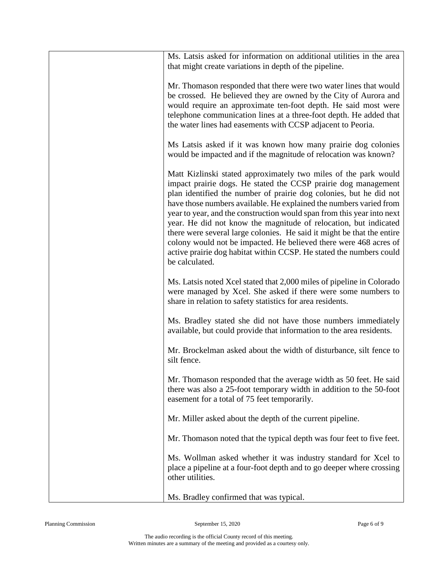| Ms. Latsis asked for information on additional utilities in the area<br>that might create variations in depth of the pipeline.                                                                                                                                                                                                                                                                                                                                                                                                                                                                                                                                      |
|---------------------------------------------------------------------------------------------------------------------------------------------------------------------------------------------------------------------------------------------------------------------------------------------------------------------------------------------------------------------------------------------------------------------------------------------------------------------------------------------------------------------------------------------------------------------------------------------------------------------------------------------------------------------|
| Mr. Thomason responded that there were two water lines that would<br>be crossed. He believed they are owned by the City of Aurora and<br>would require an approximate ten-foot depth. He said most were<br>telephone communication lines at a three-foot depth. He added that<br>the water lines had easements with CCSP adjacent to Peoria.                                                                                                                                                                                                                                                                                                                        |
| Ms Latsis asked if it was known how many prairie dog colonies<br>would be impacted and if the magnitude of relocation was known?                                                                                                                                                                                                                                                                                                                                                                                                                                                                                                                                    |
| Matt Kizlinski stated approximately two miles of the park would<br>impact prairie dogs. He stated the CCSP prairie dog management<br>plan identified the number of prairie dog colonies, but he did not<br>have those numbers available. He explained the numbers varied from<br>year to year, and the construction would span from this year into next<br>year. He did not know the magnitude of relocation, but indicated<br>there were several large colonies. He said it might be that the entire<br>colony would not be impacted. He believed there were 468 acres of<br>active prairie dog habitat within CCSP. He stated the numbers could<br>be calculated. |
| Ms. Latsis noted Xcel stated that 2,000 miles of pipeline in Colorado<br>were managed by Xcel. She asked if there were some numbers to<br>share in relation to safety statistics for area residents.                                                                                                                                                                                                                                                                                                                                                                                                                                                                |
| Ms. Bradley stated she did not have those numbers immediately<br>available, but could provide that information to the area residents.                                                                                                                                                                                                                                                                                                                                                                                                                                                                                                                               |
| Mr. Brockelman asked about the width of disturbance, silt fence to<br>silt fence.                                                                                                                                                                                                                                                                                                                                                                                                                                                                                                                                                                                   |
| Mr. Thomason responded that the average width as 50 feet. He said<br>there was also a 25-foot temporary width in addition to the 50-foot<br>easement for a total of 75 feet temporarily.                                                                                                                                                                                                                                                                                                                                                                                                                                                                            |
| Mr. Miller asked about the depth of the current pipeline.                                                                                                                                                                                                                                                                                                                                                                                                                                                                                                                                                                                                           |
| Mr. Thomason noted that the typical depth was four feet to five feet.                                                                                                                                                                                                                                                                                                                                                                                                                                                                                                                                                                                               |
| Ms. Wollman asked whether it was industry standard for Xcel to<br>place a pipeline at a four-foot depth and to go deeper where crossing<br>other utilities.                                                                                                                                                                                                                                                                                                                                                                                                                                                                                                         |
| Ms. Bradley confirmed that was typical.                                                                                                                                                                                                                                                                                                                                                                                                                                                                                                                                                                                                                             |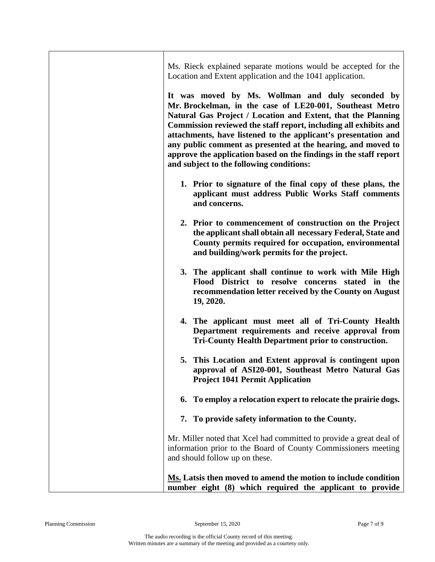| Ms. Rieck explained separate motions would be accepted for the<br>Location and Extent application and the 1041 application.<br>It was moved by Ms. Wollman and duly seconded by<br>Mr. Brockelman, in the case of LE20-001, Southeast Metro<br>Natural Gas Project / Location and Extent, that the Planning<br>Commission reviewed the staff report, including all exhibits and<br>attachments, have listened to the applicant's presentation and<br>any public comment as presented at the hearing, and moved to<br>approve the application based on the findings in the staff report<br>and subject to the following conditions: |
|------------------------------------------------------------------------------------------------------------------------------------------------------------------------------------------------------------------------------------------------------------------------------------------------------------------------------------------------------------------------------------------------------------------------------------------------------------------------------------------------------------------------------------------------------------------------------------------------------------------------------------|
| 1. Prior to signature of the final copy of these plans, the<br>applicant must address Public Works Staff comments<br>and concerns.                                                                                                                                                                                                                                                                                                                                                                                                                                                                                                 |
| 2. Prior to commencement of construction on the Project<br>the applicant shall obtain all necessary Federal, State and<br>County permits required for occupation, environmental<br>and building/work permits for the project.                                                                                                                                                                                                                                                                                                                                                                                                      |
| 3. The applicant shall continue to work with Mile High<br>Flood District to resolve concerns stated in the<br>recommendation letter received by the County on August<br>19, 2020.                                                                                                                                                                                                                                                                                                                                                                                                                                                  |
| 4. The applicant must meet all of Tri-County Health<br>Department requirements and receive approval from<br><b>Tri-County Health Department prior to construction.</b>                                                                                                                                                                                                                                                                                                                                                                                                                                                             |
| 5. This Location and Extent approval is contingent upon<br>approval of ASI20-001, Southeast Metro Natural Gas<br><b>Project 1041 Permit Application</b>                                                                                                                                                                                                                                                                                                                                                                                                                                                                            |
| To employ a relocation expert to relocate the prairie dogs.<br>6.                                                                                                                                                                                                                                                                                                                                                                                                                                                                                                                                                                  |
| 7. To provide safety information to the County.                                                                                                                                                                                                                                                                                                                                                                                                                                                                                                                                                                                    |
| Mr. Miller noted that Xcel had committed to provide a great deal of<br>information prior to the Board of County Commissioners meeting<br>and should follow up on these.                                                                                                                                                                                                                                                                                                                                                                                                                                                            |
| Ms. Latsis then moved to amend the motion to include condition<br>number eight (8) which required the applicant to provide                                                                                                                                                                                                                                                                                                                                                                                                                                                                                                         |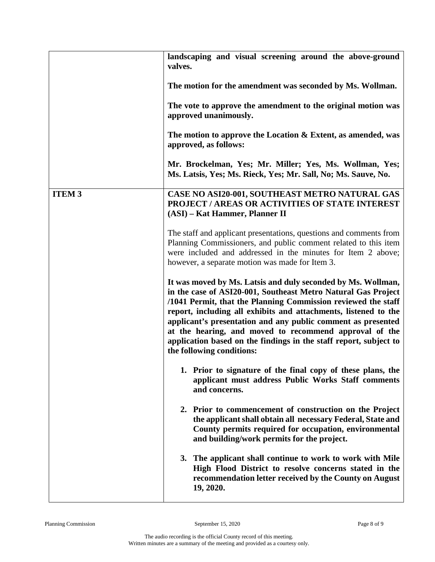|               | landscaping and visual screening around the above-ground<br>valves.                                                                                                                                                                                                                                                                                                                                                                                                                           |
|---------------|-----------------------------------------------------------------------------------------------------------------------------------------------------------------------------------------------------------------------------------------------------------------------------------------------------------------------------------------------------------------------------------------------------------------------------------------------------------------------------------------------|
|               | The motion for the amendment was seconded by Ms. Wollman.                                                                                                                                                                                                                                                                                                                                                                                                                                     |
|               | The vote to approve the amendment to the original motion was<br>approved unanimously.                                                                                                                                                                                                                                                                                                                                                                                                         |
|               | The motion to approve the Location $\&$ Extent, as amended, was<br>approved, as follows:                                                                                                                                                                                                                                                                                                                                                                                                      |
|               | Mr. Brockelman, Yes; Mr. Miller; Yes, Ms. Wollman, Yes;<br>Ms. Latsis, Yes; Ms. Rieck, Yes; Mr. Sall, No; Ms. Sauve, No.                                                                                                                                                                                                                                                                                                                                                                      |
| <b>ITEM 3</b> | CASE NO ASI20-001, SOUTHEAST METRO NATURAL GAS<br>PROJECT / AREAS OR ACTIVITIES OF STATE INTEREST<br>(ASI) - Kat Hammer, Planner II                                                                                                                                                                                                                                                                                                                                                           |
|               | The staff and applicant presentations, questions and comments from<br>Planning Commissioners, and public comment related to this item<br>were included and addressed in the minutes for Item 2 above;<br>however, a separate motion was made for Item 3.                                                                                                                                                                                                                                      |
|               | It was moved by Ms. Latsis and duly seconded by Ms. Wollman,<br>in the case of ASI20-001, Southeast Metro Natural Gas Project<br>/1041 Permit, that the Planning Commission reviewed the staff<br>report, including all exhibits and attachments, listened to the<br>applicant's presentation and any public comment as presented<br>at the hearing, and moved to recommend approval of the<br>application based on the findings in the staff report, subject to<br>the following conditions: |
|               | 1. Prior to signature of the final copy of these plans, the<br>applicant must address Public Works Staff comments<br>and concerns.                                                                                                                                                                                                                                                                                                                                                            |
|               | 2. Prior to commencement of construction on the Project<br>the applicant shall obtain all necessary Federal, State and<br>County permits required for occupation, environmental<br>and building/work permits for the project.                                                                                                                                                                                                                                                                 |
|               | The applicant shall continue to work to work with Mile<br>3.<br>High Flood District to resolve concerns stated in the<br>recommendation letter received by the County on August<br>19, 2020.                                                                                                                                                                                                                                                                                                  |